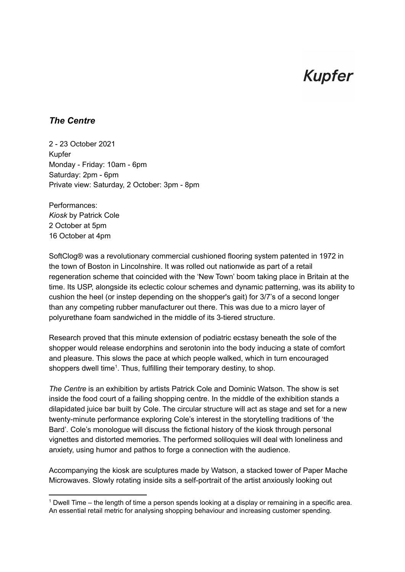## **Kupfer**

## *The Centre*

2 - 23 October 2021 Kupfer Monday - Friday: 10am - 6pm Saturday: 2pm - 6pm Private view: Saturday, 2 October: 3pm - 8pm

Performances: *Kiosk* by Patrick Cole 2 October at 5pm 16 October at 4pm

SoftClog® was a revolutionary commercial cushioned flooring system patented in 1972 in the town of Boston in Lincolnshire. It was rolled out nationwide as part of a retail regeneration scheme that coincided with the 'New Town' boom taking place in Britain at the time. Its USP, alongside its eclectic colour schemes and dynamic patterning, was its ability to cushion the heel (or instep depending on the shopper's gait) for 3/7's of a second longer than any competing rubber manufacturer out there. This was due to a micro layer of polyurethane foam sandwiched in the middle of its 3-tiered structure.

Research proved that this minute extension of podiatric ecstasy beneath the sole of the shopper would release endorphins and serotonin into the body inducing a state of comfort and pleasure. This slows the pace at which people walked, which in turn encouraged shoppers dwell time<sup>1</sup>. Thus, fulfilling their temporary destiny, to shop.

*The Centre* is an exhibition by artists Patrick Cole and Dominic Watson. The show is set inside the food court of a failing shopping centre. In the middle of the exhibition stands a dilapidated juice bar built by Cole. The circular structure will act as stage and set for a new twenty-minute performance exploring Cole's interest in the storytelling traditions of 'the Bard'. Cole's monologue will discuss the fictional history of the kiosk through personal vignettes and distorted memories. The performed soliloquies will deal with loneliness and anxiety, using humor and pathos to forge a connection with the audience.

Accompanying the kiosk are sculptures made by Watson, a stacked tower of Paper Mache Microwaves. Slowly rotating inside sits a self-portrait of the artist anxiously looking out

<sup>1</sup> Dwell Time – the length of time a person spends looking at a display or remaining in a specific area. An essential retail metric for analysing shopping behaviour and increasing customer spending.